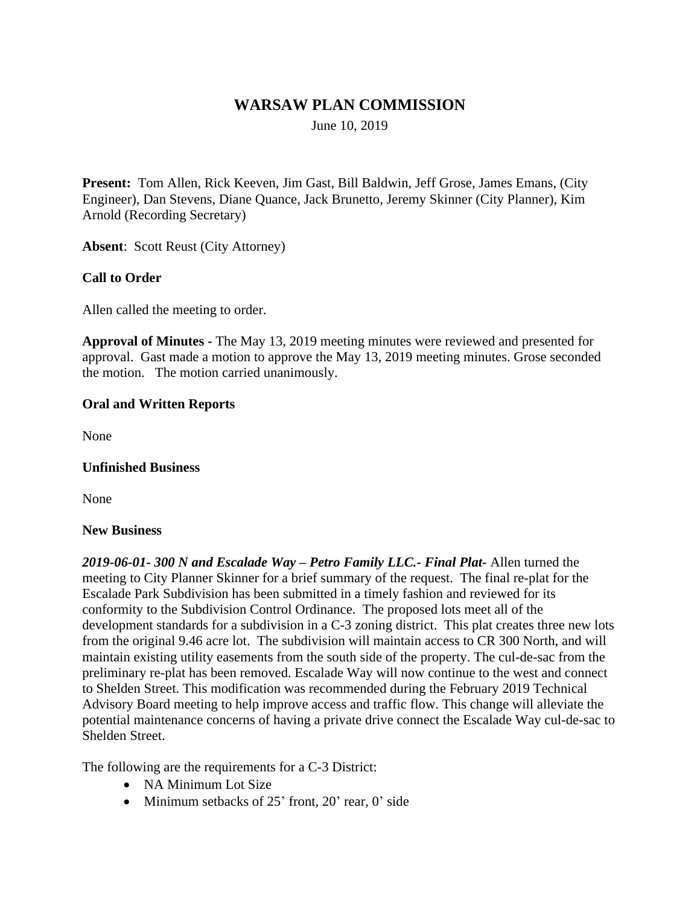# **WARSAW PLAN COMMISSION**

June 10, 2019

**Present:** Tom Allen, Rick Keeven, Jim Gast, Bill Baldwin, Jeff Grose, James Emans, (City Engineer), Dan Stevens, Diane Quance, Jack Brunetto, Jeremy Skinner (City Planner), Kim Arnold (Recording Secretary)

**Absent**: Scott Reust (City Attorney)

## **Call to Order**

Allen called the meeting to order.

**Approval of Minutes -** The May 13, 2019 meeting minutes were reviewed and presented for approval. Gast made a motion to approve the May 13, 2019 meeting minutes. Grose seconded the motion. The motion carried unanimously.

#### **Oral and Written Reports**

None

#### **Unfinished Business**

None

#### **New Business**

*2019-06-01- 300 N and Escalade Way – Petro Family LLC.- Final Plat-* Allen turned the meeting to City Planner Skinner for a brief summary of the request. The final re-plat for the Escalade Park Subdivision has been submitted in a timely fashion and reviewed for its conformity to the Subdivision Control Ordinance. The proposed lots meet all of the development standards for a subdivision in a C-3 zoning district. This plat creates three new lots from the original 9.46 acre lot. The subdivision will maintain access to CR 300 North, and will maintain existing utility easements from the south side of the property. The cul-de-sac from the preliminary re-plat has been removed. Escalade Way will now continue to the west and connect to Shelden Street. This modification was recommended during the February 2019 Technical Advisory Board meeting to help improve access and traffic flow. This change will alleviate the potential maintenance concerns of having a private drive connect the Escalade Way cul-de-sac to Shelden Street.

The following are the requirements for a C-3 District:

- NA Minimum Lot Size
- $\bullet$  Minimum setbacks of 25' front, 20' rear, 0' side